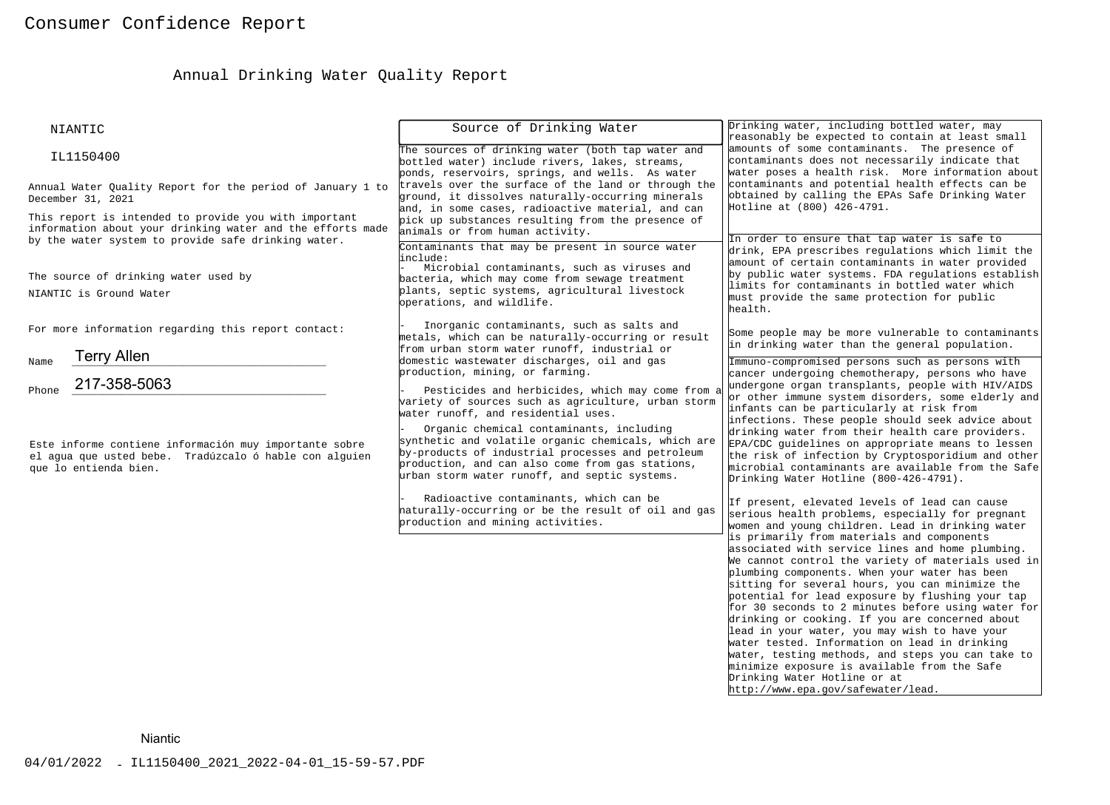# Annual Drinking Water Quality Report

| NIANTIC                                                                                                                                                                    | Source of Drinking Water                                                                                                                                                                                                                                                                                                                                                                                                                                                                                                                          | Drinking water, including bottled water, may<br>reasonably be expected to contain at least small                                                                                                                                                                                                                                                                                                                                                                                                                                                                                                                                                                                                                                                                                                                                                                                                                                                                                                                                                                                                                                                                                                                                                                                  |  |  |
|----------------------------------------------------------------------------------------------------------------------------------------------------------------------------|---------------------------------------------------------------------------------------------------------------------------------------------------------------------------------------------------------------------------------------------------------------------------------------------------------------------------------------------------------------------------------------------------------------------------------------------------------------------------------------------------------------------------------------------------|-----------------------------------------------------------------------------------------------------------------------------------------------------------------------------------------------------------------------------------------------------------------------------------------------------------------------------------------------------------------------------------------------------------------------------------------------------------------------------------------------------------------------------------------------------------------------------------------------------------------------------------------------------------------------------------------------------------------------------------------------------------------------------------------------------------------------------------------------------------------------------------------------------------------------------------------------------------------------------------------------------------------------------------------------------------------------------------------------------------------------------------------------------------------------------------------------------------------------------------------------------------------------------------|--|--|
| IL1150400                                                                                                                                                                  | The sources of drinking water (both tap water and<br>bottled water) include rivers, lakes, streams,<br>ponds, reservoirs, springs, and wells. As water                                                                                                                                                                                                                                                                                                                                                                                            | amounts of some contaminants. The presence of<br>contaminants does not necessarily indicate that<br>water poses a health risk. More information about                                                                                                                                                                                                                                                                                                                                                                                                                                                                                                                                                                                                                                                                                                                                                                                                                                                                                                                                                                                                                                                                                                                             |  |  |
| Annual Water Quality Report for the period of January 1 to<br>December 31, 2021                                                                                            | travels over the surface of the land or through the<br>ground, it dissolves naturally-occurring minerals<br>and, in some cases, radioactive material, and can                                                                                                                                                                                                                                                                                                                                                                                     | contaminants and potential health effects can be<br>obtained by calling the EPAs Safe Drinking Water<br>Hotline at (800) 426-4791.                                                                                                                                                                                                                                                                                                                                                                                                                                                                                                                                                                                                                                                                                                                                                                                                                                                                                                                                                                                                                                                                                                                                                |  |  |
| This report is intended to provide you with important<br>information about your drinking water and the efforts made<br>by the water system to provide safe drinking water. | pick up substances resulting from the presence of<br>animals or from human activity.<br>Contaminants that may be present in source water<br>linclude:                                                                                                                                                                                                                                                                                                                                                                                             | In order to ensure that tap water is safe to<br>drink, EPA prescribes regulations which limit the<br>amount of certain contaminants in water provided                                                                                                                                                                                                                                                                                                                                                                                                                                                                                                                                                                                                                                                                                                                                                                                                                                                                                                                                                                                                                                                                                                                             |  |  |
| The source of drinking water used by<br>NIANTIC is Ground Water                                                                                                            | Microbial contaminants, such as viruses and<br>bacteria, which may come from sewage treatment<br>plants, septic systems, agricultural livestock<br>operations, and wildlife.                                                                                                                                                                                                                                                                                                                                                                      | by public water systems. FDA regulations establish<br>limits for contaminants in bottled water which<br>must provide the same protection for public<br>health.                                                                                                                                                                                                                                                                                                                                                                                                                                                                                                                                                                                                                                                                                                                                                                                                                                                                                                                                                                                                                                                                                                                    |  |  |
| For more information regarding this report contact:                                                                                                                        | Inorganic contaminants, such as salts and<br>metals, which can be naturally-occurring or result<br>from urban storm water runoff, industrial or                                                                                                                                                                                                                                                                                                                                                                                                   | Some people may be more vulnerable to contaminants<br>in drinking water than the general population.                                                                                                                                                                                                                                                                                                                                                                                                                                                                                                                                                                                                                                                                                                                                                                                                                                                                                                                                                                                                                                                                                                                                                                              |  |  |
| <b>Terry Allen</b><br>Name<br>217-358-5063                                                                                                                                 | domestic wastewater discharges, oil and gas<br>production, mining, or farming.                                                                                                                                                                                                                                                                                                                                                                                                                                                                    | Immuno-compromised persons such as persons with<br>cancer undergoing chemotherapy, persons who have<br>undergone organ transplants, people with HIV/AIDS                                                                                                                                                                                                                                                                                                                                                                                                                                                                                                                                                                                                                                                                                                                                                                                                                                                                                                                                                                                                                                                                                                                          |  |  |
| Phone<br>Este informe contiene información muy importante sobre<br>el aqua que usted bebe. Tradúzcalo ó hable con alquien<br>que lo entienda bien.                         | Pesticides and herbicides, which may come from a<br>variety of sources such as agriculture, urban storm<br>water runoff, and residential uses.<br>Organic chemical contaminants, including<br>synthetic and volatile organic chemicals, which are<br>by-products of industrial processes and petroleum<br>production, and can also come from gas stations,<br>urban storm water runoff, and septic systems.<br>Radioactive contaminants, which can be<br>haturally-occurring or be the result of oil and gas<br>production and mining activities. | or other immune system disorders, some elderly and<br>infants can be particularly at risk from<br>infections. These people should seek advice about<br>drinking water from their health care providers.<br>EPA/CDC guidelines on appropriate means to lessen<br>the risk of infection by Cryptosporidium and other<br>microbial contaminants are available from the Safe<br>Drinking Water Hotline (800-426-4791).<br>If present, elevated levels of lead can cause<br>serious health problems, especially for pregnant<br>women and young children. Lead in drinking water<br>is primarily from materials and components<br>associated with service lines and home plumbing.<br>We cannot control the variety of materials used in<br>plumbing components. When your water has been<br>sitting for several hours, you can minimize the<br>potential for lead exposure by flushing your tap<br>for 30 seconds to 2 minutes before using water for<br>drinking or cooking. If you are concerned about<br>lead in your water, you may wish to have your<br>water tested. Information on lead in drinking<br>water, testing methods, and steps you can take to<br>minimize exposure is available from the Safe<br>Drinking Water Hotline or at<br>http://www.epa.gov/safewater/lead. |  |  |
| <b>Niantic</b>                                                                                                                                                             |                                                                                                                                                                                                                                                                                                                                                                                                                                                                                                                                                   |                                                                                                                                                                                                                                                                                                                                                                                                                                                                                                                                                                                                                                                                                                                                                                                                                                                                                                                                                                                                                                                                                                                                                                                                                                                                                   |  |  |
| 04/01/2022 - IL1150400_2021_2022-04-01_15-59-57.PDF                                                                                                                        |                                                                                                                                                                                                                                                                                                                                                                                                                                                                                                                                                   |                                                                                                                                                                                                                                                                                                                                                                                                                                                                                                                                                                                                                                                                                                                                                                                                                                                                                                                                                                                                                                                                                                                                                                                                                                                                                   |  |  |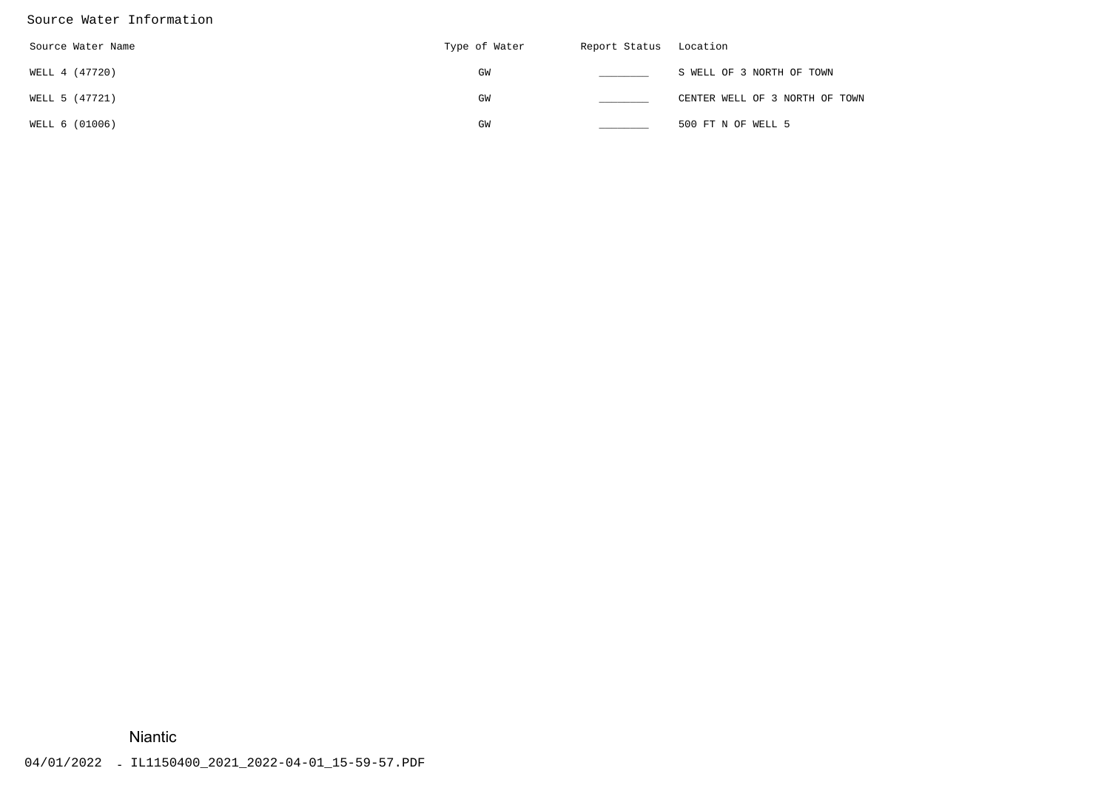### Source Water Information

| Source Water Name | Type of Water | Report Status Location |                                |
|-------------------|---------------|------------------------|--------------------------------|
| WELL 4 (47720)    | GM            |                        | S WELL OF 3 NORTH OF TOWN      |
| WELL 5 (47721)    | GW            |                        | CENTER WELL OF 3 NORTH OF TOWN |
| WELL 6 (01006)    | GM            |                        | 500 FT N OF WELL 5             |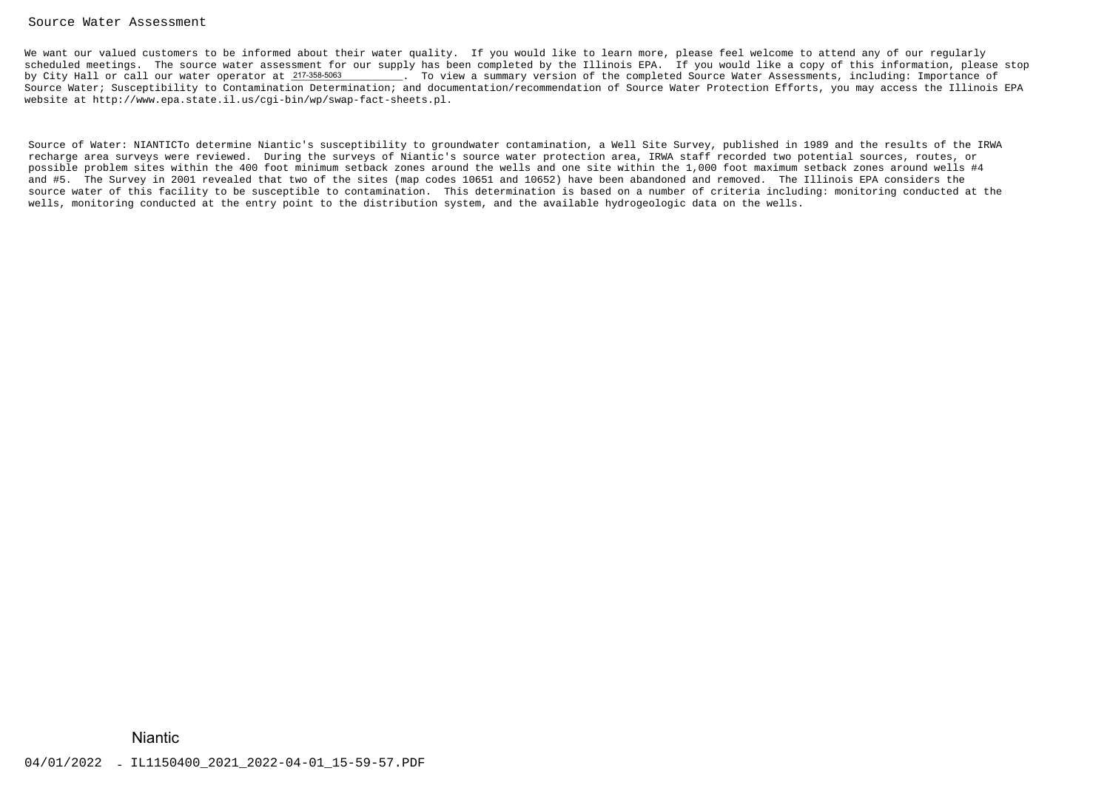### Source Water Assessment

We want our valued customers to be informed about their water quality. If you would like to learn more, please feel welcome to attend any of our regularly scheduled meetings. The source water assessment for our supply has been completed by the Illinois EPA. If you would like a copy of this information, please stopby City Hall or call our water operator at 217-358-5063 \_\_\_\_\_\_\_\_. To view a summary version of the completed Source Water Assessments, including: Importance of Source Water; Susceptibility to Contamination Determination; and documentation/recommendation of Source Water Protection Efforts, you may access the Illinois EPAwebsite at http://www.epa.state.il.us/cgi-bin/wp/swap-fact-sheets.pl.

Source of Water: NIANTICTo determine Niantic's susceptibility to groundwater contamination, a Well Site Survey, published in 1989 and the results of the IRWArecharge area surveys were reviewed. During the surveys of Niantic's source water protection area, IRWA staff recorded two potential sources, routes, or possible problem sites within the 400 foot minimum setback zones around the wells and one site within the 1,000 foot maximum setback zones around wells #4and #5. The Survey in 2001 revealed that two of the sites (map codes 10651 and 10652) have been abandoned and removed. The Illinois EPA considers the source water of this facility to be susceptible to contamination. This determination is based on a number of criteria including: monitoring conducted at thewells, monitoring conducted at the entry point to the distribution system, and the available hydrogeologic data on the wells.% City Mall or call our water operator at 2*M2888888*<br>
course Water: Superprinting to Contamination Determination; and<br>espite at http://www.epa.state.11.us/cyl-bin/wp/swap-fact-sheet<br>
scores of Water: NIAFITCTo determine E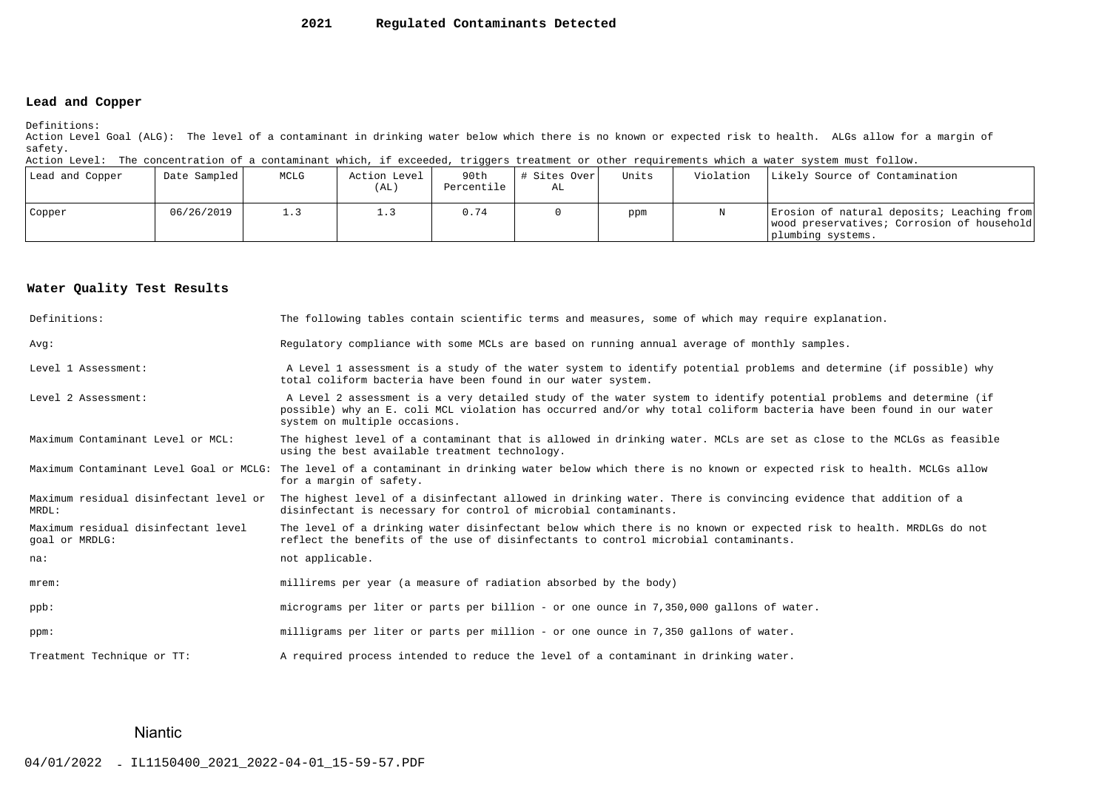### **2021Regulated Contaminants Detected**

### **Lead and Copper**

Definitions:

 Action Level Goal (ALG): The level of a contaminant in drinking water below which there is no known or expected risk to health. ALGs allow for a margin ofsafety.

Action Level: The concentration of a contaminant which, if exceeded, triggers treatment or other requirements which a water system must follow.

| Lead and Copper | Date Sampled | MCLG | Action Level<br>(AL) | 90th<br>Percentile | # Sites Over<br>AL | Units | Violation | Likely Source of Contamination                                                                                |
|-----------------|--------------|------|----------------------|--------------------|--------------------|-------|-----------|---------------------------------------------------------------------------------------------------------------|
| Copper          | 06/26/2019   | 1.3  |                      | 0.74               |                    | ppm   |           | Erosion of natural deposits; Leaching from<br>wood preservatives; Corrosion of household<br>plumbing systems. |

### **Water Quality Test Results**

| Definitions:                                          | The following tables contain scientific terms and measures, some of which may require explanation.                                                                                                                                                                         |
|-------------------------------------------------------|----------------------------------------------------------------------------------------------------------------------------------------------------------------------------------------------------------------------------------------------------------------------------|
| Avq:                                                  | Requlatory compliance with some MCLs are based on running annual average of monthly samples.                                                                                                                                                                               |
| Level 1 Assessment:                                   | A Level 1 assessment is a study of the water system to identify potential problems and determine (if possible) why<br>total coliform bacteria have been found in our water system.                                                                                         |
| Level 2 Assessment:                                   | A Level 2 assessment is a very detailed study of the water system to identify potential problems and determine (if<br>possible) why an E. coli MCL violation has occurred and/or why total coliform bacteria have been found in our water<br>system on multiple occasions. |
| Maximum Contaminant Level or MCL:                     | The highest level of a contaminant that is allowed in drinking water. MCLs are set as close to the MCLGs as feasible<br>using the best available treatment technology.                                                                                                     |
| Maximum Contaminant Level Goal or MCLG:               | The level of a contaminant in drinking water below which there is no known or expected risk to health. MCLGs allow<br>for a margin of safety.                                                                                                                              |
| Maximum residual disinfectant level or<br>MRDL:       | The highest level of a disinfectant allowed in drinking water. There is convincing evidence that addition of a<br>disinfectant is necessary for control of microbial contaminants.                                                                                         |
| Maximum residual disinfectant level<br>goal or MRDLG: | The level of a drinking water disinfectant below which there is no known or expected risk to health. MRDLGs do not<br>reflect the benefits of the use of disinfectants to control microbial contaminants.                                                                  |
| na:                                                   | not applicable.                                                                                                                                                                                                                                                            |
| $m$ rem:                                              | millirems per year (a measure of radiation absorbed by the body)                                                                                                                                                                                                           |
| $ppb$ :                                               | micrograms per liter or parts per billion - or one ounce in 7,350,000 gallons of water.                                                                                                                                                                                    |
| ppm:                                                  | milligrams per liter or parts per million - or one ounce in 7,350 gallons of water.                                                                                                                                                                                        |
| Treatment Technique or TT:                            | A required process intended to reduce the level of a contaminant in drinking water.                                                                                                                                                                                        |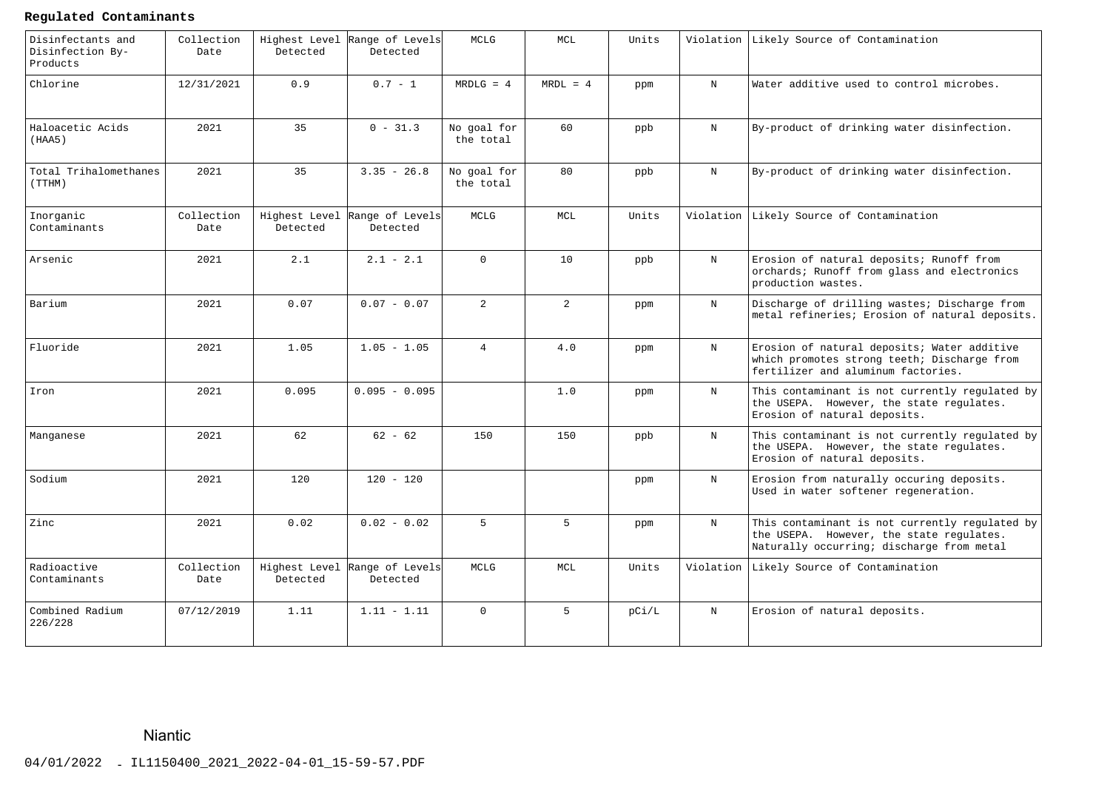### **Regulated Contaminants**

| Disinfectants and<br>Disinfection By-<br>Products | Collection<br>Date | Highest Level<br>Detected | Range of Levels<br>Detected               | MCLG                     | MCL             | Units |             | Violation Likely Source of Contamination                                                                                                |
|---------------------------------------------------|--------------------|---------------------------|-------------------------------------------|--------------------------|-----------------|-------|-------------|-----------------------------------------------------------------------------------------------------------------------------------------|
| Chlorine                                          | 12/31/2021         | 0.9                       | $0.7 - 1$                                 | $MRDLG = 4$              | $MRDL = 4$      | ppm   | $_{\rm N}$  | Water additive used to control microbes.                                                                                                |
| Haloacetic Acids<br>(HAA5)                        | 2021               | 35                        | $0 - 31.3$                                | No goal for<br>the total | 60              | ppb   | $\mathbf N$ | By-product of drinking water disinfection.                                                                                              |
| Total Trihalomethanes<br>(TTHM)                   | 2021               | 35                        | $3.35 - 26.8$                             | No goal for<br>the total | 80              | ppb   | $\mathbf N$ | By-product of drinking water disinfection.                                                                                              |
| Inorganic<br>Contaminants                         | Collection<br>Date | Detected                  | Highest Level Range of Levels<br>Detected | MCLG                     | MCL             | Units |             | Violation Likely Source of Contamination                                                                                                |
| Arsenic                                           | 2021               | 2.1                       | $2.1 - 2.1$                               | $\overline{0}$           | 10 <sup>°</sup> | ppb   | $\mathbf N$ | Erosion of natural deposits; Runoff from<br>orchards; Runoff from glass and electronics<br>production wastes.                           |
| Barium                                            | 2021               | 0.07                      | $0.07 - 0.07$                             | $\overline{2}$           | $\overline{2}$  | ppm   | $_{\rm N}$  | Discharge of drilling wastes; Discharge from<br>metal refineries; Erosion of natural deposits.                                          |
| Fluoride                                          | 2021               | 1.05                      | $1.05 - 1.05$                             | $\overline{4}$           | 4.0             | ppm   | $_{\rm N}$  | Erosion of natural deposits; Water additive<br>which promotes strong teeth; Discharge from<br>fertilizer and aluminum factories.        |
| Iron                                              | 2021               | 0.095                     | $0.095 - 0.095$                           |                          | 1.0             | ppm   | $\mathbf N$ | This contaminant is not currently regulated by<br>the USEPA. However, the state regulates.<br>Erosion of natural deposits.              |
| Manganese                                         | 2021               | 62                        | $62 - 62$                                 | 150                      | 150             | ppb   | $_{\rm N}$  | This contaminant is not currently regulated by<br>the USEPA. However, the state regulates.<br>Erosion of natural deposits.              |
| Sodium                                            | 2021               | 120                       | $120 - 120$                               |                          |                 | ppm   | $\mathbf N$ | Erosion from naturally occuring deposits.<br>Used in water softener regeneration.                                                       |
| Zinc                                              | 2021               | 0.02                      | $0.02 - 0.02$                             | 5                        | 5               | ppm   | $_{\rm N}$  | This contaminant is not currently regulated by<br>the USEPA. However, the state regulates.<br>Naturally occurring; discharge from metal |
| Radioactive<br>Contaminants                       | Collection<br>Date | Detected                  | Highest Level Range of Levels<br>Detected | MCLG                     | <b>MCL</b>      | Units | Violation   | Likely Source of Contamination                                                                                                          |
| Combined Radium<br>226/228                        | 07/12/2019         | 1.11                      | $1.11 - 1.11$                             | $\Omega$                 | 5 <sup>1</sup>  | pC1/L | $_{\rm N}$  | Erosion of natural deposits.                                                                                                            |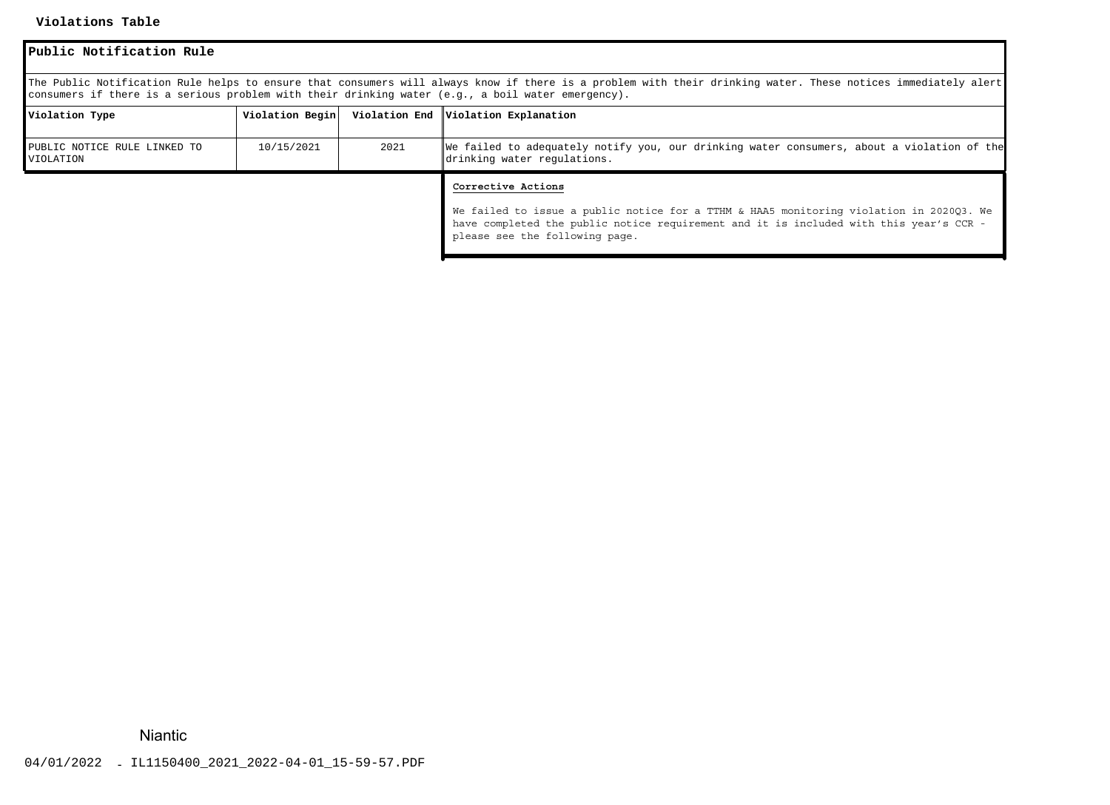### **Violations Table**

| Public Notification Rule                                                                                                                                                                                                                                           |                 |      |                                                                                                                                                                                                                                           |  |  |  |  |
|--------------------------------------------------------------------------------------------------------------------------------------------------------------------------------------------------------------------------------------------------------------------|-----------------|------|-------------------------------------------------------------------------------------------------------------------------------------------------------------------------------------------------------------------------------------------|--|--|--|--|
| The Public Notification Rule helps to ensure that consumers will always know if there is a problem with their drinking water. These notices immediately alert<br>consumers if there is a serious problem with their drinking water (e.g., a boil water emergency). |                 |      |                                                                                                                                                                                                                                           |  |  |  |  |
| Violation Type                                                                                                                                                                                                                                                     | Violation Begin |      | Violation End   Violation Explanation                                                                                                                                                                                                     |  |  |  |  |
| PUBLIC NOTICE RULE LINKED TO<br>VIOLATION                                                                                                                                                                                                                          | 10/15/2021      | 2021 | We failed to adequately notify you, our drinking water consumers, about a violation of the<br>drinking water regulations.                                                                                                                 |  |  |  |  |
|                                                                                                                                                                                                                                                                    |                 |      | Corrective Actions<br>We failed to issue a public notice for a TTHM & HAA5 monitoring violation in 2020Q3. We<br>have completed the public notice requirement and it is included with this year's CCR -<br>please see the following page. |  |  |  |  |